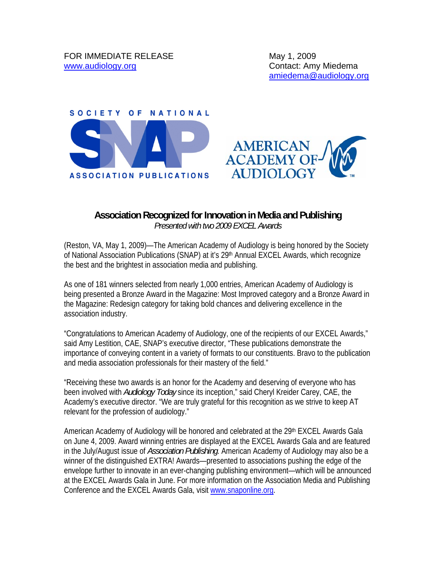



## **Association Recognized for Innovation in Media and Publishing**

*Presented with two 2009 EXCEL Awards*

(Reston, VA, May 1, 2009)—The American Academy of Audiology is being honored by the Society of National Association Publications (SNAP) at it's 29<sup>th</sup> Annual EXCEL Awards, which recognize the best and the brightest in association media and publishing.

As one of 181 winners selected from nearly 1,000 entries, American Academy of Audiology is being presented a Bronze Award in the Magazine: Most Improved category and a Bronze Award in the Magazine: Redesign category for taking bold chances and delivering excellence in the association industry.

"Congratulations to American Academy of Audiology, one of the recipients of our EXCEL Awards," said Amy Lestition, CAE, SNAP's executive director, "These publications demonstrate the importance of conveying content in a variety of formats to our constituents. Bravo to the publication and media association professionals for their mastery of the field."

"Receiving these two awards is an honor for the Academy and deserving of everyone who has been involved with *Audiology Today* since its inception," said Cheryl Kreider Carey, CAE, the Academy's executive director. "We are truly grateful for this recognition as we strive to keep AT relevant for the profession of audiology."

American Academy of Audiology will be honored and celebrated at the 29th EXCEL Awards Gala on June 4, 2009. Award winning entries are displayed at the EXCEL Awards Gala and are featured in the July/August issue of *Association Publishing*. American Academy of Audiology may also be a winner of the distinguished EXTRA! Awards—presented to associations pushing the edge of the envelope further to innovate in an ever-changing publishing environment—which will be announced at the EXCEL Awards Gala in June. For more information on the Association Media and Publishing Conference and the EXCEL Awards Gala, visit www.snaponline.org.